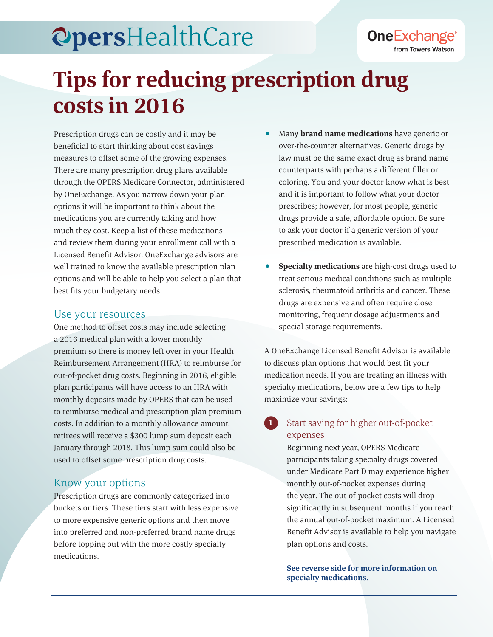## **OpersHealthCare**

# **Tips for reducing prescription drug costs in 2016**

Prescription drugs can be costly and it may be beneficial to start thinking about cost savings measures to offset some of the growing expenses. There are many prescription drug plans available through the OPERS Medicare Connector, administered by OneExchange. As you narrow down your plan options it will be important to think about the medications you are currently taking and how much they cost. Keep a list of these medications and review them during your enrollment call with a Licensed Benefit Advisor. OneExchange advisors are well trained to know the available prescription plan options and will be able to help you select a plan that best fits your budgetary needs.

#### Use your resources

One method to offset costs may include selecting a 2016 medical plan with a lower monthly premium so there is money left over in your Health Reimbursement Arrangement (HRA) to reimburse for out-of-pocket drug costs. Beginning in 2016, eligible plan participants will have access to an HRA with monthly deposits made by OPERS that can be used to reimburse medical and prescription plan premium costs. In addition to a monthly allowance amount, retirees will receive a \$300 lump sum deposit each January through 2018. This lump sum could also be used to offset some prescription drug costs.

#### Know your options

Prescription drugs are commonly categorized into buckets or tiers. These tiers start with less expensive to more expensive generic options and then move into preferred and non-preferred brand name drugs before topping out with the more costly specialty medications.

• Many **brand name medications** have generic or over-the-counter alternatives. Generic drugs by law must be the same exact drug as brand name counterparts with perhaps a different filler or coloring. You and your doctor know what is best and it is important to follow what your doctor prescribes; however, for most people, generic drugs provide a safe, affordable option. Be sure to ask your doctor if a generic version of your prescribed medication is available.

**OneExchange®** 

from Towers Watson

• **Specialty medications** are high-cost drugs used to treat serious medical conditions such as multiple sclerosis, rheumatoid arthritis and cancer. These drugs are expensive and often require close monitoring, frequent dosage adjustments and special storage requirements.

A OneExchange Licensed Benefit Advisor is available to discuss plan options that would best fit your medication needs. If you are treating an illness with specialty medications, below are a few tips to help maximize your savings:

#### **1** Start saving for higher out-of-pocket expenses

Beginning next year, OPERS Medicare participants taking specialty drugs covered under Medicare Part D may experience higher monthly out-of-pocket expenses during the year. The out-of-pocket costs will drop significantly in subsequent months if you reach the annual out-of-pocket maximum. A Licensed Benefit Advisor is available to help you navigate plan options and costs.

**See reverse side for more information on specialty medications.**